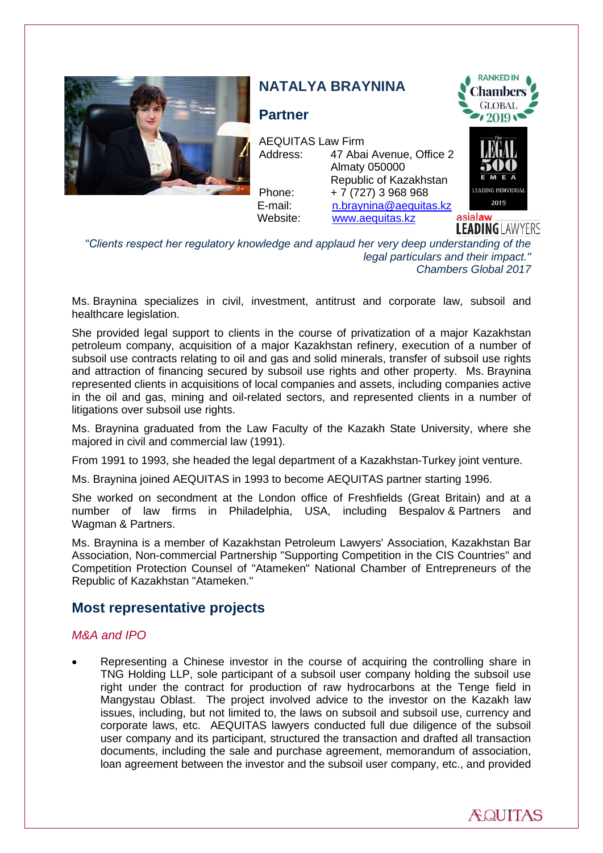

# **NATALYA BRAYNINA**

### **Partner**

AEQUITAS Law Firm Address: 47 Abai Avenue, Office 2 Almaty 050000 Republic of Kazakhstan Phone: + 7 (727) 3 968 968 E-mail: [n.braynina@aequitas.kz](mailto:N.Braynina@aequitas.kz) Website: [www.aequitas.kz](http://www.aequitas.kz/) asialaw **LEADING** LAWYERS



**LEADING INDIVIDUAL** 2019

*"Сlients respect her regulatory knowledge and applaud her very deep understanding of the legal particulars and their impact." Chambers Global 2017*

Ms. Braynina specializes in civil, investment, antitrust and corporate law, subsoil and healthcare legislation.

She provided legal support to clients in the course of privatization of a major Kazakhstan petroleum company, acquisition of a major Kazakhstan refinery, execution of a number of subsoil use contracts relating to oil and gas and solid minerals, transfer of subsoil use rights and attraction of financing secured by subsoil use rights and other property. Ms. Braynina represented clients in acquisitions of local companies and assets, including companies active in the oil and gas, mining and oil-related sectors, and represented clients in a number of litigations over subsoil use rights.

Ms. Braynina graduated from the Law Faculty of the Kazakh State University, where she majored in civil and commercial law (1991).

From 1991 to 1993, she headed the legal department of a Kazakhstan-Turkey joint venture.

Ms. Braynina joined AEQUITAS in 1993 to become AEQUITAS partner starting 1996.

She worked on secondment at the London office of Freshfields (Great Britain) and at a number of law firms in Philadelphia, USA, including Bespalov & Partners and Wagman & Partners.

Ms. Braynina is a member of Kazakhstan Petroleum Lawyers' Association, Kazakhstan Bar Association, Non-commercial Partnership "Supporting Competition in the CIS Countries" and Competition Protection Counsel of "Atameken" National Chamber of Entrepreneurs of the Republic of Kazakhstan "Atameken."

## **Most representative projects**

### *M&A and IPO*

• Representing a Chinese investor in the course of acquiring the controlling share in TNG Holding LLP, sole participant of a subsoil user company holding the subsoil use right under the contract for production of raw hydrocarbons at the Tenge field in Mangystau Oblast. The project involved advice to the investor on the Kazakh law issues, including, but not limited to, the laws on subsoil and subsoil use, currency and corporate laws, etc. AEQUITAS lawyers conducted full due diligence of the subsoil user company and its participant, structured the transaction and drafted all transaction documents, including the sale and purchase agreement, memorandum of association, loan agreement between the investor and the subsoil user company, etc., and provided

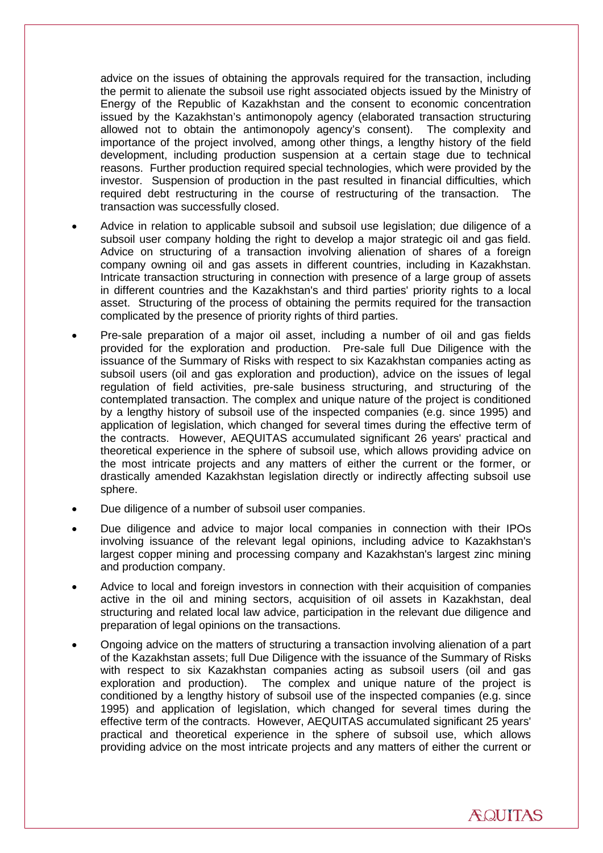advice on the issues of obtaining the approvals required for the transaction, including the permit to alienate the subsoil use right associated objects issued by the Ministry of Energy of the Republic of Kazakhstan and the consent to economic concentration issued by the Kazakhstan's antimonopoly agency (elaborated transaction structuring allowed not to obtain the antimonopoly agency's consent). The complexity and importance of the project involved, among other things, a lengthy history of the field development, including production suspension at a certain stage due to technical reasons. Further production required special technologies, which were provided by the investor. Suspension of production in the past resulted in financial difficulties, which required debt restructuring in the course of restructuring of the transaction. The transaction was successfully closed.

- Advice in relation to applicable subsoil and subsoil use legislation; due diligence of a subsoil user company holding the right to develop a major strategic oil and gas field. Advice on structuring of a transaction involving alienation of shares of a foreign company owning oil and gas assets in different countries, including in Kazakhstan. Intricate transaction structuring in connection with presence of a large group of assets in different countries and the Kazakhstan's and third parties' priority rights to a local asset. Structuring of the process of obtaining the permits required for the transaction complicated by the presence of priority rights of third parties.
- Pre-sale preparation of a major oil asset, including a number of oil and gas fields provided for the exploration and production. Pre-sale full Due Diligence with the issuance of the Summary of Risks with respect to six Kazakhstan companies acting as subsoil users (oil and gas exploration and production), advice on the issues of legal regulation of field activities, pre-sale business structuring, and structuring of the contemplated transaction. The complex and unique nature of the project is conditioned by a lengthy history of subsoil use of the inspected companies (e.g. since 1995) and application of legislation, which changed for several times during the effective term of the contracts. However, AEQUITAS accumulated significant 26 years' practical and theoretical experience in the sphere of subsoil use, which allows providing advice on the most intricate projects and any matters of either the current or the former, or drastically amended Kazakhstan legislation directly or indirectly affecting subsoil use sphere.
- Due diligence of a number of subsoil user companies.
- Due diligence and advice to major local companies in connection with their IPOs involving issuance of the relevant legal opinions, including advice to Kazakhstan's largest copper mining and processing company and Kazakhstan's largest zinc mining and production company.
- Advice to local and foreign investors in connection with their acquisition of companies active in the oil and mining sectors, acquisition of oil assets in Kazakhstan, deal structuring and related local law advice, participation in the relevant due diligence and preparation of legal opinions on the transactions.
- Ongoing advice on the matters of structuring a transaction involving alienation of a part of the Kazakhstan assets; full Due Diligence with the issuance of the Summary of Risks with respect to six Kazakhstan companies acting as subsoil users (oil and gas exploration and production). The complex and unique nature of the project is conditioned by a lengthy history of subsoil use of the inspected companies (e.g. since 1995) and application of legislation, which changed for several times during the effective term of the contracts. However, AEQUITAS accumulated significant 25 years' practical and theoretical experience in the sphere of subsoil use, which allows providing advice on the most intricate projects and any matters of either the current or

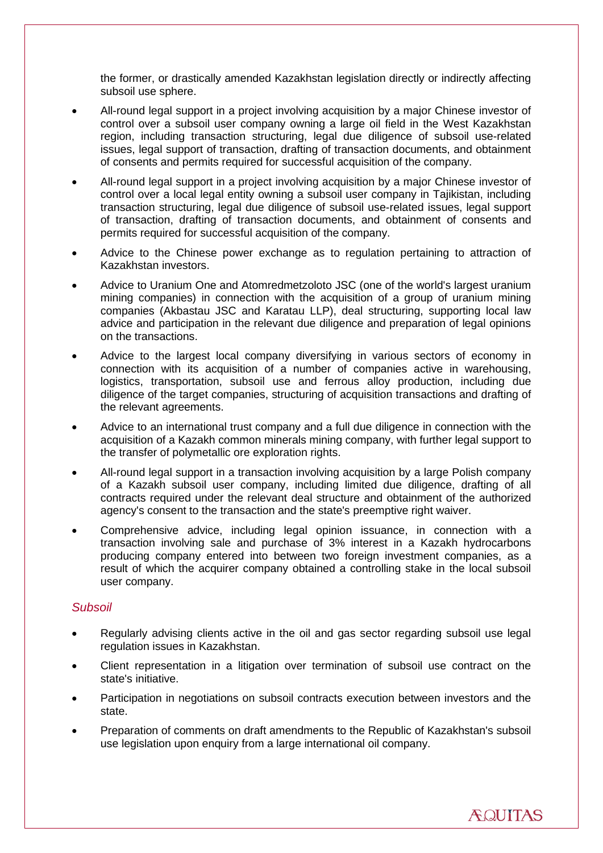the former, or drastically amended Kazakhstan legislation directly or indirectly affecting subsoil use sphere.

- All-round legal support in a project involving acquisition by a major Chinese investor of control over a subsoil user company owning a large oil field in the West Kazakhstan region, including transaction structuring, legal due diligence of subsoil use-related issues, legal support of transaction, drafting of transaction documents, and obtainment of consents and permits required for successful acquisition of the company.
- All-round legal support in a project involving acquisition by a major Chinese investor of control over a local legal entity owning a subsoil user company in Tajikistan, including transaction structuring, legal due diligence of subsoil use-related issues, legal support of transaction, drafting of transaction documents, and obtainment of consents and permits required for successful acquisition of the company.
- Advice to the Chinese power exchange as to regulation pertaining to attraction of Kazakhstan investors.
- Advice to Uranium One and Atomredmetzoloto JSC (one of the world's largest uranium mining companies) in connection with the acquisition of a group of uranium mining companies (Akbastau JSC and Karatau LLP), deal structuring, supporting local law advice and participation in the relevant due diligence and preparation of legal opinions on the transactions.
- Advice to the largest local company diversifying in various sectors of economy in connection with its acquisition of a number of companies active in warehousing, logistics, transportation, subsoil use and ferrous alloy production, including due diligence of the target companies, structuring of acquisition transactions and drafting of the relevant agreements.
- Advice to an international trust company and a full due diligence in connection with the acquisition of a Kazakh common minerals mining company, with further legal support to the transfer of polymetallic ore exploration rights.
- All-round legal support in a transaction involving acquisition by a large Polish company of a Kazakh subsoil user company, including limited due diligence, drafting of all contracts required under the relevant deal structure and obtainment of the authorized agency's consent to the transaction and the state's preemptive right waiver.
- Comprehensive advice, including legal opinion issuance, in connection with a transaction involving sale and purchase of 3% interest in a Kazakh hydrocarbons producing company entered into between two foreign investment companies, as a result of which the acquirer company obtained a controlling stake in the local subsoil user company.

#### *Subsoil*

- Regularly advising clients active in the oil and gas sector regarding subsoil use legal regulation issues in Kazakhstan.
- Client representation in a litigation over termination of subsoil use contract on the state's initiative.
- Participation in negotiations on subsoil contracts execution between investors and the state.
- Preparation of comments on draft amendments to the Republic of Kazakhstan's subsoil use legislation upon enquiry from a large international oil company.